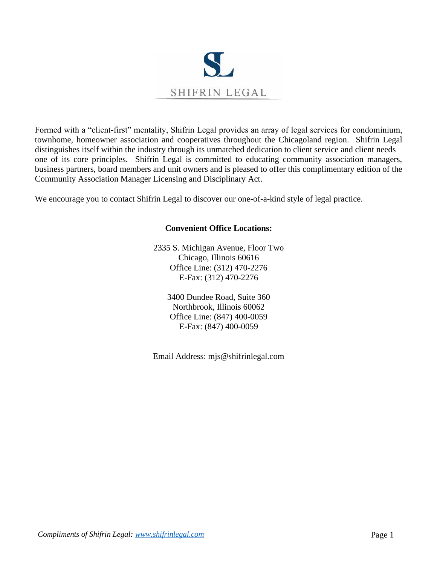

Formed with a "client-first" mentality, Shifrin Legal provides an array of legal services for condominium, townhome, homeowner association and cooperatives throughout the Chicagoland region. Shifrin Legal distinguishes itself within the industry through its unmatched dedication to client service and client needs – one of its core principles. Shifrin Legal is committed to educating community association managers, business partners, board members and unit owners and is pleased to offer this complimentary edition of the Community Association Manager Licensing and Disciplinary Act.

We encourage you to contact Shifrin Legal to discover our one-of-a-kind style of legal practice.

# **Convenient Office Locations:**

2335 S. Michigan Avenue, Floor Two Chicago, Illinois 60616 Office Line: (312) 470-2276 E-Fax: (312) 470-2276

> 3400 Dundee Road, Suite 360 Northbrook, Illinois 60062 Office Line: (847) 400-0059 E-Fax: (847) 400-0059

Email Address: mjs@shifrinlegal.com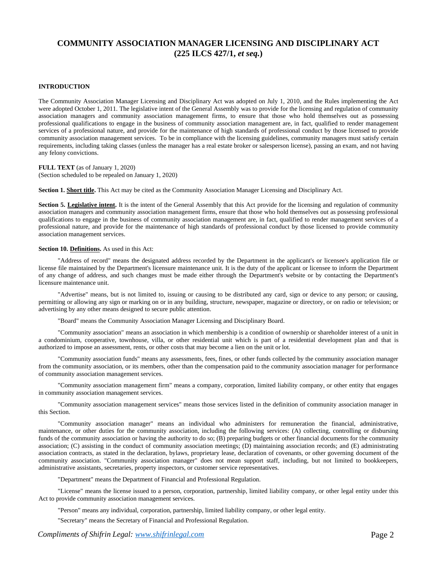# **COMMUNITY ASSOCIATION MANAGER LICENSING AND DISCIPLINARY ACT (225 ILCS 427/1,** *et seq.***)**

## **INTRODUCTION**

The Community Association Manager Licensing and Disciplinary Act was adopted on July 1, 2010, and the Rules implementing the Act were adopted October 1, 2011. The legislative intent of the General Assembly was to provide for the licensing and regulation of community association managers and community association management firms, to ensure that those who hold themselves out as possessing professional qualifications to engage in the business of community association management are, in fact, qualified to render management services of a professional nature, and provide for the maintenance of high standards of professional conduct by those licensed to provide community association management services. To be in compliance with the licensing guidelines, community managers must satisfy certain requirements, including taking classes (unless the manager has a real estate broker or salesperson license), passing an exam, and not having any felony convictions.

**FULL TEXT** (as of January 1, 2020) (Section scheduled to be repealed on January 1, 2020)

**Section 1. Short title.** This Act may be cited as the Community Association Manager Licensing and Disciplinary Act.

**Section 5. Legislative intent.** It is the intent of the General Assembly that this Act provide for the licensing and regulation of community association managers and community association management firms, ensure that those who hold themselves out as possessing professional qualifications to engage in the business of community association management are, in fact, qualified to render management services of a professional nature, and provide for the maintenance of high standards of professional conduct by those licensed to provide community association management services.

## **Section 10. Definitions.** As used in this Act:

"Address of record" means the designated address recorded by the Department in the applicant's or licensee's application file or license file maintained by the Department's licensure maintenance unit. It is the duty of the applicant or licensee to inform the Department of any change of address, and such changes must be made either through the Department's website or by contacting the Department's licensure maintenance unit.

"Advertise" means, but is not limited to, issuing or causing to be distributed any card, sign or device to any person; or causing, permitting or allowing any sign or marking on or in any building, structure, newspaper, magazine or directory, or on radio or television; or advertising by any other means designed to secure public attention.

"Board" means the Community Association Manager Licensing and Disciplinary Board.

"Community association" means an association in which membership is a condition of ownership or shareholder interest of a unit in a condominium, cooperative, townhouse, villa, or other residential unit which is part of a residential development plan and that is authorized to impose an assessment, rents, or other costs that may become a lien on the unit or lot.

"Community association funds" means any assessments, fees, fines, or other funds collected by the community association manager from the community association, or its members, other than the compensation paid to the community association manager for performance of community association management services.

"Community association management firm" means a company, corporation, limited liability company, or other entity that engages in community association management services.

"Community association management services" means those services listed in the definition of community association manager in this Section.

"Community association manager" means an individual who administers for remuneration the financial, administrative, maintenance, or other duties for the community association, including the following services: (A) collecting, controlling or disbursing funds of the community association or having the authority to do so; (B) preparing budgets or other financial documents for the community association; (C) assisting in the conduct of community association meetings; (D) maintaining association records; and (E) administrating association contracts, as stated in the declaration, bylaws, proprietary lease, declaration of covenants, or other governing document of the community association. "Community association manager" does not mean support staff, including, but not limited to bookkeepers, administrative assistants, secretaries, property inspectors, or customer service representatives.

"Department" means the Department of Financial and Professional Regulation.

"License" means the license issued to a person, corporation, partnership, limited liability company, or other legal entity under this Act to provide community association management services.

"Person" means any individual, corporation, partnership, limited liability company, or other legal entity.

"Secretary" means the Secretary of Financial and Professional Regulation.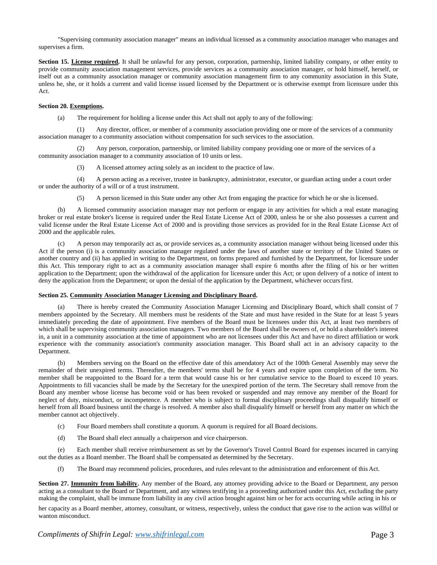"Supervising community association manager" means an individual licensed as a community association manager who manages and supervises a firm.

**Section 15. License required.** It shall be unlawful for any person, corporation, partnership, limited liability company, or other entity to provide community association management services, provide services as a community association manager, or hold himself, herself, or itself out as a community association manager or community association management firm to any community association in this State, unless he, she, or it holds a current and valid license issued licensed by the Department or is otherwise exempt from licensure under this Act.

## **Section 20. Exemptions.**

(a) The requirement for holding a license under this Act shall not apply to any of the following:

(1) Any director, officer, or member of a community association providing one or more of the services of a community association manager to a community association without compensation for such services to the association.

(2) Any person, corporation, partnership, or limited liability company providing one or more of the services of a community association manager to a community association of 10 units or less.

(3) A licensed attorney acting solely as an incident to the practice of law.

(4) A person acting as a receiver, trustee in bankruptcy, administrator, executor, or guardian acting under a court order or under the authority of a will or of a trust instrument.

(5) A person licensed in this State under any other Act from engaging the practice for which he or she islicensed.

(b) A licensed community association manager may not perform or engage in any activities for which a real estate managing broker or real estate broker's license is required under the Real Estate License Act of 2000, unless he or she also possesses a current and valid license under the Real Estate License Act of 2000 and is providing those services as provided for in the Real Estate License Act of 2000 and the applicable rules.

(c) A person may temporarily act as, or provide services as, a community association manager without being licensed under this Act if the person (i) is a community association manager regulated under the laws of another state or territory of the United States or another country and (ii) has applied in writing to the Department, on forms prepared and furnished by the Department, for licensure under this Act. This temporary right to act as a community association manager shall expire 6 months after the filing of his or her written application to the Department; upon the withdrawal of the application for licensure under this Act; or upon delivery of a notice of intent to deny the application from the Department; or upon the denial of the application by the Department, whichever occurs first.

## **Section 25. Community Association Manager Licensing and Disciplinary Board.**

(a) There is hereby created the Community Association Manager Licensing and Disciplinary Board, which shall consist of 7 members appointed by the Secretary. All members must be residents of the State and must have resided in the State for at least 5 years immediately preceding the date of appointment. Five members of the Board must be licensees under this Act, at least two members of which shall be supervising community association managers. Two members of the Board shall be owners of, or hold a shareholder's interest in, a unit in a community association at the time of appointment who are not licensees under this Act and have no direct affiliation or work experience with the community association's community association manager. This Board shall act in an advisory capacity to the Department.

(b) Members serving on the Board on the effective date of this amendatory Act of the 100th General Assembly may serve the remainder of their unexpired terms. Thereafter, the members' terms shall be for 4 years and expire upon completion of the term. No member shall be reappointed to the Board for a term that would cause his or her cumulative service to the Board to exceed 10 years. Appointments to fill vacancies shall be made by the Secretary for the unexpired portion of the term. The Secretary shall remove from the Board any member whose license has become void or has been revoked or suspended and may remove any member of the Board for neglect of duty, misconduct, or incompetence. A member who is subject to formal disciplinary proceedings shall disqualify himself or herself from all Board business until the charge is resolved. A member also shall disqualify himself or herself from any matter on which the member cannot act objectively.

- (c) Four Board members shall constitute a quorum. A quorum is required for all Board decisions.
- (d) The Board shall elect annually a chairperson and vice chairperson.

(e) Each member shall receive reimbursement as set by the Governor's Travel Control Board for expenses incurred in carrying out the duties as a Board member. The Board shall be compensated as determined by the Secretary.

(f) The Board may recommend policies, procedures, and rules relevant to the administration and enforcement of this Act.

**Section 27. Immunity from liability.** Any member of the Board, any attorney providing advice to the Board or Department, any person acting as a consultant to the Board or Department, and any witness testifying in a proceeding authorized under this Act, excluding the party making the complaint, shall be immune from liability in any civil action brought against him or her for acts occurring while acting in his or

her capacity as a Board member, attorney, consultant, or witness, respectively, unless the conduct that gave rise to the action was willful or wanton misconduct.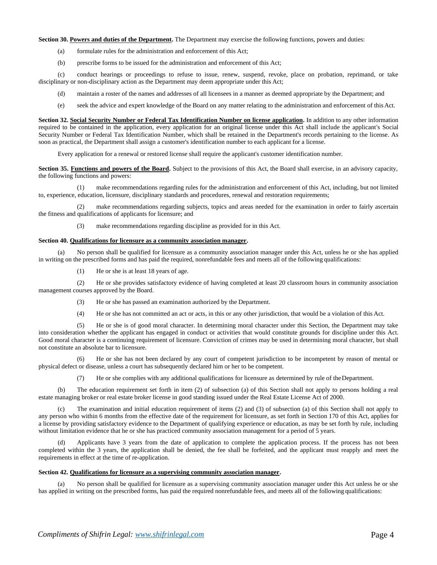## **Section 30. Powers and duties of the Department.** The Department may exercise the following functions, powers and duties:

- (a) formulate rules for the administration and enforcement of this Act;
- (b) prescribe forms to be issued for the administration and enforcement of this Act;

(c) conduct hearings or proceedings to refuse to issue, renew, suspend, revoke, place on probation, reprimand, or take disciplinary or non-disciplinary action as the Department may deem appropriate under this Act;

- (d) maintain a roster of the names and addresses of all licensees in a manner as deemed appropriate by the Department; and
- (e) seek the advice and expert knowledge of the Board on any matter relating to the administration and enforcement of this Act.

**Section 32. Social Security Number or Federal Tax Identification Number on license application.** In addition to any other information required to be contained in the application, every application for an original license under this Act shall include the applicant's Social Security Number or Federal Tax Identification Number, which shall be retained in the Department's records pertaining to the license. As soon as practical, the Department shall assign a customer's identification number to each applicant for a license.

Every application for a renewal or restored license shall require the applicant's customer identification number.

**Section 35. Functions and powers of the Board.** Subject to the provisions of this Act, the Board shall exercise, in an advisory capacity, the following functions and powers:

(1) make recommendations regarding rules for the administration and enforcement of this Act, including, but not limited to, experience, education, licensure, disciplinary standards and procedures, renewal and restoration requirements;

(2) make recommendations regarding subjects, topics and areas needed for the examination in order to fairly ascertain the fitness and qualifications of applicants for licensure; and

(3) make recommendations regarding discipline as provided for in this Act.

## **Section 40. Qualifications for licensure as a community association manager.**

No person shall be qualified for licensure as a community association manager under this Act, unless he or she has applied in writing on the prescribed forms and has paid the required, nonrefundable fees and meets all of the following qualifications:

(1) He or she is at least 18 years of age.

(2) He or she provides satisfactory evidence of having completed at least 20 classroom hours in community association management courses approved by the Board.

- (3) He or she has passed an examination authorized by the Department.
- (4) He or she has not committed an act or acts, in this or any other jurisdiction, that would be a violation of this Act.

(5) He or she is of good moral character. In determining moral character under this Section, the Department may take into consideration whether the applicant has engaged in conduct or activities that would constitute grounds for discipline under this Act. Good moral character is a continuing requirement of licensure. Conviction of crimes may be used in determining moral character, but shall not constitute an absolute bar to licensure.

He or she has not been declared by any court of competent jurisdiction to be incompetent by reason of mental or physical defect or disease, unless a court has subsequently declared him or her to be competent.

(7) He or she complies with any additional qualifications for licensure as determined by rule of theDepartment.

(b) The education requirement set forth in item (2) of subsection (a) of this Section shall not apply to persons holding a real estate managing broker or real estate broker license in good standing issued under the Real Estate License Act of 2000.

(c) The examination and initial education requirement of items (2) and (3) of subsection (a) of this Section shall not apply to any person who within 6 months from the effective date of the requirement for licensure, as set forth in Section 170 of this Act, applies for a license by providing satisfactory evidence to the Department of qualifying experience or education, as may be set forth by rule, including without limitation evidence that he or she has practiced community association management for a period of 5 years.

Applicants have 3 years from the date of application to complete the application process. If the process has not been completed within the 3 years, the application shall be denied, the fee shall be forfeited, and the applicant must reapply and meet the requirements in effect at the time of re-application.

#### **Section 42. Qualifications for licensure as a supervising community association manager.**

(a) No person shall be qualified for licensure as a supervising community association manager under this Act unless he or she has applied in writing on the prescribed forms, has paid the required nonrefundable fees, and meets all of the following qualifications: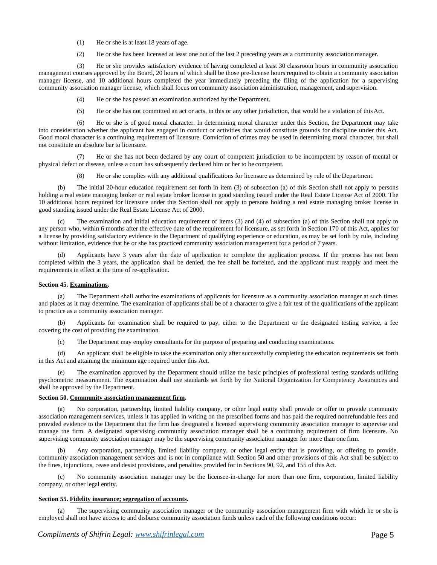- (1) He or she is at least 18 years of age.
- (2) He or she has been licensed at least one out of the last 2 preceding years as a community associationmanager.

(3) He or she provides satisfactory evidence of having completed at least 30 classroom hours in community association management courses approved by the Board, 20 hours of which shall be those pre-license hours required to obtain a community association manager license, and 10 additional hours completed the year immediately preceding the filing of the application for a supervising community association manager license, which shall focus on community association administration, management, and supervision.

- (4) He or she has passed an examination authorized by the Department.
- (5) He or she has not committed an act or acts, in this or any other jurisdiction, that would be a violation of thisAct.

(6) He or she is of good moral character. In determining moral character under this Section, the Department may take into consideration whether the applicant has engaged in conduct or activities that would constitute grounds for discipline under this Act. Good moral character is a continuing requirement of licensure. Conviction of crimes may be used in determining moral character, but shall not constitute an absolute bar to licensure.

(7) He or she has not been declared by any court of competent jurisdiction to be incompetent by reason of mental or physical defect or disease, unless a court has subsequently declared him or her to be competent.

(8) He or she complies with any additional qualifications for licensure as determined by rule of the Department.

(b) The initial 20-hour education requirement set forth in item (3) of subsection (a) of this Section shall not apply to persons holding a real estate managing broker or real estate broker license in good standing issued under the Real Estate License Act of 2000. The 10 additional hours required for licensure under this Section shall not apply to persons holding a real estate managing broker license in good standing issued under the Real Estate License Act of 2000.

(c) The examination and initial education requirement of items (3) and (4) of subsection (a) of this Section shall not apply to any person who, within 6 months after the effective date of the requirement for licensure, as set forth in Section 170 of this Act, applies for a license by providing satisfactory evidence to the Department of qualifying experience or education, as may be set forth by rule, including without limitation, evidence that he or she has practiced community association management for a period of 7 years.

Applicants have 3 years after the date of application to complete the application process. If the process has not been completed within the 3 years, the application shall be denied, the fee shall be forfeited, and the applicant must reapply and meet the requirements in effect at the time of re-application.

### **Section 45. Examinations.**

(a) The Department shall authorize examinations of applicants for licensure as a community association manager at such times and places as it may determine. The examination of applicants shall be of a character to give a fair test of the qualifications of the applicant to practice as a community association manager.

(b) Applicants for examination shall be required to pay, either to the Department or the designated testing service, a fee covering the cost of providing the examination.

(c) The Department may employ consultants for the purpose of preparing and conducting examinations.

(d) An applicant shall be eligible to take the examination only after successfully completing the education requirements set forth in this Act and attaining the minimum age required under this Act.

The examination approved by the Department should utilize the basic principles of professional testing standards utilizing psychometric measurement. The examination shall use standards set forth by the National Organization for Competency Assurances and shall be approved by the Department.

## **Section 50. Community association management firm.**

(a) No corporation, partnership, limited liability company, or other legal entity shall provide or offer to provide community association management services, unless it has applied in writing on the prescribed forms and has paid the required nonrefundable fees and provided evidence to the Department that the firm has designated a licensed supervising community association manager to supervise and manage the firm. A designated supervising community association manager shall be a continuing requirement of firm licensure. No supervising community association manager may be the supervising community association manager for more than one firm.

(b) Any corporation, partnership, limited liability company, or other legal entity that is providing, or offering to provide, community association management services and is not in compliance with Section 50 and other provisions of this Act shall be subject to the fines, injunctions, cease and desist provisions, and penalties provided for in Sections 90, 92, and 155 of this Act.

(c) No community association manager may be the licensee-in-charge for more than one firm, corporation, limited liability company, or other legal entity.

#### **Section 55. Fidelity insurance; segregation of accounts.**

(a) The supervising community association manager or the community association management firm with which he or she is employed shall not have access to and disburse community association funds unless each of the following conditions occur: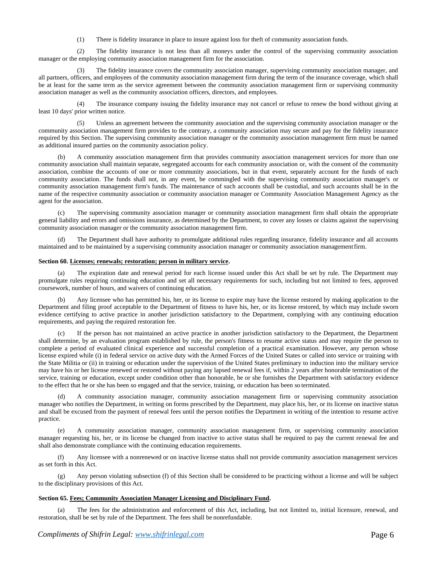(1) There is fidelity insurance in place to insure against loss for theft of community association funds.

(2) The fidelity insurance is not less than all moneys under the control of the supervising community association manager or the employing community association management firm for the association.

The fidelity insurance covers the community association manager, supervising community association manager, and all partners, officers, and employees of the community association management firm during the term of the insurance coverage, which shall be at least for the same term as the service agreement between the community association management firm or supervising community association manager as well as the community association officers, directors, and employees.

The insurance company issuing the fidelity insurance may not cancel or refuse to renew the bond without giving at least 10 days' prior written notice.

(5) Unless an agreement between the community association and the supervising community association manager or the community association management firm provides to the contrary, a community association may secure and pay for the fidelity insurance required by this Section. The supervising community association manager or the community association management firm must be named as additional insured parties on the community association policy.

A community association management firm that provides community association management services for more than one community association shall maintain separate, segregated accounts for each community association or, with the consent of the community association, combine the accounts of one or more community associations, but in that event, separately account for the funds of each community association. The funds shall not, in any event, be commingled with the supervising community association manager's or community association management firm's funds. The maintenance of such accounts shall be custodial, and such accounts shall be in the name of the respective community association or community association manager or Community Association Management Agency as the agent for the association.

(c) The supervising community association manager or community association management firm shall obtain the appropriate general liability and errors and omissions insurance, as determined by the Department, to cover any losses or claims against the supervising community association manager or the community association management firm.

The Department shall have authority to promulgate additional rules regarding insurance, fidelity insurance and all accounts maintained and to be maintained by a supervising community association manager or community association managementfirm.

## **Section 60. Licenses; renewals; restoration; person in military service.**

The expiration date and renewal period for each license issued under this Act shall be set by rule. The Department may promulgate rules requiring continuing education and set all necessary requirements for such, including but not limited to fees, approved coursework, number of hours, and waivers of continuing education.

Any licensee who has permitted his, her, or its license to expire may have the license restored by making application to the Department and filing proof acceptable to the Department of fitness to have his, her, or its license restored, by which may include sworn evidence certifying to active practice in another jurisdiction satisfactory to the Department, complying with any continuing education requirements, and paying the required restoration fee.

(c) If the person has not maintained an active practice in another jurisdiction satisfactory to the Department, the Department shall determine, by an evaluation program established by rule, the person's fitness to resume active status and may require the person to complete a period of evaluated clinical experience and successful completion of a practical examination. However, any person whose license expired while (i) in federal service on active duty with the Armed Forces of the United States or called into service or training with the State Militia or (ii) in training or education under the supervision of the United States preliminary to induction into the military service may have his or her license renewed or restored without paying any lapsed renewal fees if, within 2 years after honorable termination of the service, training or education, except under condition other than honorable, he or she furnishes the Department with satisfactory evidence to the effect that he or she has been so engaged and that the service, training, or education has been so terminated.

A community association manager, community association management firm or supervising community association manager who notifies the Department, in writing on forms prescribed by the Department, may place his, her, or its license on inactive status and shall be excused from the payment of renewal fees until the person notifies the Department in writing of the intention to resume active practice.

(e) A community association manager, community association management firm, or supervising community association manager requesting his, her, or its license be changed from inactive to active status shall be required to pay the current renewal fee and shall also demonstrate compliance with the continuing education requirements.

(f) Any licensee with a nonrenewed or on inactive license status shall not provide community association management services as set forth in this Act.

(g) Any person violating subsection (f) of this Section shall be considered to be practicing without a license and will be subject to the disciplinary provisions of this Act.

#### **Section 65. Fees; Community Association Manager Licensing and Disciplinary Fund.**

(a) The fees for the administration and enforcement of this Act, including, but not limited to, initial licensure, renewal, and restoration, shall be set by rule of the Department. The fees shall be nonrefundable.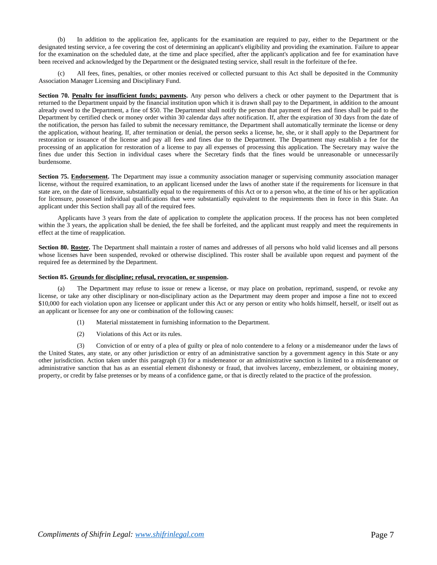(b) In addition to the application fee, applicants for the examination are required to pay, either to the Department or the designated testing service, a fee covering the cost of determining an applicant's eligibility and providing the examination. Failure to appear for the examination on the scheduled date, at the time and place specified, after the applicant's application and fee for examination have been received and acknowledged by the Department or the designated testing service, shall result in the forfeiture of the fee.

All fees, fines, penalties, or other monies received or collected pursuant to this Act shall be deposited in the Community Association Manager Licensing and Disciplinary Fund.

**Section 70. Penalty for insufficient funds; payments.** Any person who delivers a check or other payment to the Department that is returned to the Department unpaid by the financial institution upon which it is drawn shall pay to the Department, in addition to the amount already owed to the Department, a fine of \$50. The Department shall notify the person that payment of fees and fines shall be paid to the Department by certified check or money order within 30 calendar days after notification. If, after the expiration of 30 days from the date of the notification, the person has failed to submit the necessary remittance, the Department shall automatically terminate the license or deny the application, without hearing. If, after termination or denial, the person seeks a license, he, she, or it shall apply to the Department for restoration or issuance of the license and pay all fees and fines due to the Department. The Department may establish a fee for the processing of an application for restoration of a license to pay all expenses of processing this application. The Secretary may waive the fines due under this Section in individual cases where the Secretary finds that the fines would be unreasonable or unnecessarily burdensome.

**Section 75. Endorsement.** The Department may issue a community association manager or supervising community association manager license, without the required examination, to an applicant licensed under the laws of another state if the requirements for licensure in that state are, on the date of licensure, substantially equal to the requirements of this Act or to a person who, at the time of his or her application for licensure, possessed individual qualifications that were substantially equivalent to the requirements then in force in this State. An applicant under this Section shall pay all of the required fees.

Applicants have 3 years from the date of application to complete the application process. If the process has not been completed within the 3 years, the application shall be denied, the fee shall be forfeited, and the applicant must reapply and meet the requirements in effect at the time of reapplication.

Section 80. Roster. The Department shall maintain a roster of names and addresses of all persons who hold valid licenses and all persons whose licenses have been suspended, revoked or otherwise disciplined. This roster shall be available upon request and payment of the required fee as determined by the Department.

#### **Section 85. Grounds for discipline; refusal, revocation, or suspension.**

(a) The Department may refuse to issue or renew a license, or may place on probation, reprimand, suspend, or revoke any license, or take any other disciplinary or non-disciplinary action as the Department may deem proper and impose a fine not to exceed \$10,000 for each violation upon any licensee or applicant under this Act or any person or entity who holds himself, herself, or itself out as an applicant or licensee for any one or combination of the following causes:

- (1) Material misstatement in furnishing information to the Department.
- (2) Violations of this Act or its rules.

(3) Conviction of or entry of a plea of guilty or plea of nolo contendere to a felony or a misdemeanor under the laws of the United States, any state, or any other jurisdiction or entry of an administrative sanction by a government agency in this State or any other jurisdiction. Action taken under this paragraph (3) for a misdemeanor or an administrative sanction is limited to a misdemeanor or administrative sanction that has as an essential element dishonesty or fraud, that involves larceny, embezzlement, or obtaining money, property, or credit by false pretenses or by means of a confidence game, or that is directly related to the practice of the profession.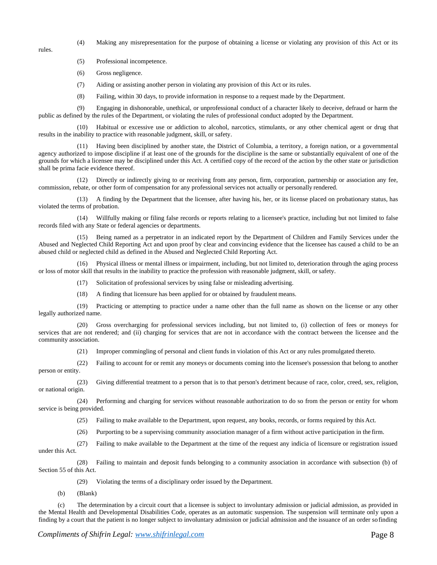rules.

- (4) Making any misrepresentation for the purpose of obtaining a license or violating any provision of this Act or its
- (5) Professional incompetence.
- (6) Gross negligence.
- (7) Aiding or assisting another person in violating any provision of this Act or its rules.
- (8) Failing, within 30 days, to provide information in response to a request made by the Department.

(9) Engaging in dishonorable, unethical, or unprofessional conduct of a character likely to deceive, defraud or harm the public as defined by the rules of the Department, or violating the rules of professional conduct adopted by the Department.

(10) Habitual or excessive use or addiction to alcohol, narcotics, stimulants, or any other chemical agent or drug that results in the inability to practice with reasonable judgment, skill, or safety.

(11) Having been disciplined by another state, the District of Columbia, a territory, a foreign nation, or a governmental agency authorized to impose discipline if at least one of the grounds for the discipline is the same or substantially equivalent of one of the grounds for which a licensee may be disciplined under this Act. A certified copy of the record of the action by the other state or jurisdiction shall be prima facie evidence thereof.

(12) Directly or indirectly giving to or receiving from any person, firm, corporation, partnership or association any fee, commission, rebate, or other form of compensation for any professional services not actually or personally rendered.

(13) A finding by the Department that the licensee, after having his, her, or its license placed on probationary status, has violated the terms of probation.

(14) Willfully making or filing false records or reports relating to a licensee's practice, including but not limited to false records filed with any State or federal agencies or departments.

(15) Being named as a perpetrator in an indicated report by the Department of Children and Family Services under the Abused and Neglected Child Reporting Act and upon proof by clear and convincing evidence that the licensee has caused a child to be an abused child or neglected child as defined in the Abused and Neglected Child Reporting Act.

(16) Physical illness or mental illness or impairment, including, but not limited to, deterioration through the aging process or loss of motor skill that results in the inability to practice the profession with reasonable judgment, skill, or safety.

(17) Solicitation of professional services by using false or misleading advertising.

(18) A finding that licensure has been applied for or obtained by fraudulent means.

(19) Practicing or attempting to practice under a name other than the full name as shown on the license or any other legally authorized name.

(20) Gross overcharging for professional services including, but not limited to, (i) collection of fees or moneys for services that are not rendered; and (ii) charging for services that are not in accordance with the contract between the licensee and the community association.

(21) Improper commingling of personal and client funds in violation of this Act or any rules promulgated thereto.

(22) Failing to account for or remit any moneys or documents coming into the licensee's possession that belong to another person or entity.

(23) Giving differential treatment to a person that is to that person's detriment because of race, color, creed, sex, religion, or national origin.

(24) Performing and charging for services without reasonable authorization to do so from the person or entity for whom service is being provided.

(25) Failing to make available to the Department, upon request, any books, records, or forms required by this Act.

(26) Purporting to be a supervising community association manager of a firm without active participation in the firm.

(27) Failing to make available to the Department at the time of the request any indicia of licensure or registration issued

under this Act.

(28) Failing to maintain and deposit funds belonging to a community association in accordance with subsection (b) of Section 55 of this Act.

(29) Violating the terms of a disciplinary order issued by the Department.

(b) (Blank)

(c) The determination by a circuit court that a licensee is subject to involuntary admission or judicial admission, as provided in the Mental Health and Developmental Disabilities Code, operates as an automatic suspension. The suspension will terminate only upon a finding by a court that the patient is no longer subject to involuntary admission or judicial admission and the issuance of an order so finding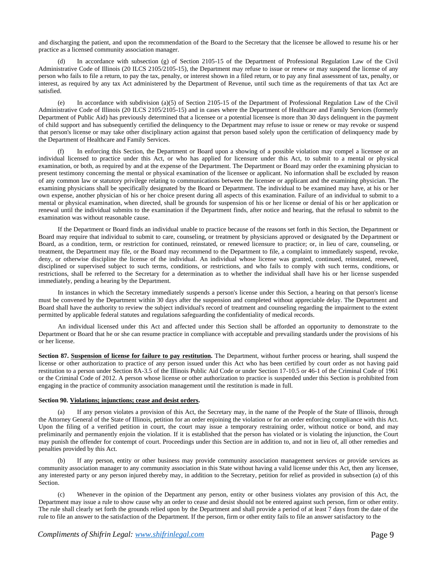and discharging the patient, and upon the recommendation of the Board to the Secretary that the licensee be allowed to resume his or her practice as a licensed community association manager.

(d) In accordance with subsection (g) of Section 2105-15 of the Department of Professional Regulation Law of the Civil Administrative Code of Illinois (20 ILCS 2105/2105-15), the Department may refuse to issue or renew or may suspend the license of any person who fails to file a return, to pay the tax, penalty, or interest shown in a filed return, or to pay any final assessment of tax, penalty, or interest, as required by any tax Act administered by the Department of Revenue, until such time as the requirements of that tax Act are satisfied.

(e) In accordance with subdivision (a)(5) of Section 2105-15 of the Department of Professional Regulation Law of the Civil Administrative Code of Illinois (20 ILCS 2105/2105-15) and in cases where the Department of Healthcare and Family Services (formerly Department of Public Aid) has previously determined that a licensee or a potential licensee is more than 30 days delinquent in the payment of child support and has subsequently certified the delinquency to the Department may refuse to issue or renew or may revoke or suspend that person's license or may take other disciplinary action against that person based solely upon the certification of delinquency made by the Department of Healthcare and Family Services.

(f) In enforcing this Section, the Department or Board upon a showing of a possible violation may compel a licensee or an individual licensed to practice under this Act, or who has applied for licensure under this Act, to submit to a mental or physical examination, or both, as required by and at the expense of the Department. The Department or Board may order the examining physician to present testimony concerning the mental or physical examination of the licensee or applicant. No information shall be excluded by reason of any common law or statutory privilege relating to communications between the licensee or applicant and the examining physician. The examining physicians shall be specifically designated by the Board or Department. The individual to be examined may have, at his or her own expense, another physician of his or her choice present during all aspects of this examination. Failure of an individual to submit to a mental or physical examination, when directed, shall be grounds for suspension of his or her license or denial of his or her application or renewal until the individual submits to the examination if the Department finds, after notice and hearing, that the refusal to submit to the examination was without reasonable cause.

If the Department or Board finds an individual unable to practice because of the reasons set forth in this Section, the Department or Board may require that individual to submit to care, counseling, or treatment by physicians approved or designated by the Department or Board, as a condition, term, or restriction for continued, reinstated, or renewed licensure to practice; or, in lieu of care, counseling, or treatment, the Department may file, or the Board may recommend to the Department to file, a complaint to immediately suspend, revoke, deny, or otherwise discipline the license of the individual. An individual whose license was granted, continued, reinstated, renewed, disciplined or supervised subject to such terms, conditions, or restrictions, and who fails to comply with such terms, conditions, or restrictions, shall be referred to the Secretary for a determination as to whether the individual shall have his or her license suspended immediately, pending a hearing by the Department.

In instances in which the Secretary immediately suspends a person's license under this Section, a hearing on that person's license must be convened by the Department within 30 days after the suspension and completed without appreciable delay. The Department and Board shall have the authority to review the subject individual's record of treatment and counseling regarding the impairment to the extent permitted by applicable federal statutes and regulations safeguarding the confidentiality of medical records.

An individual licensed under this Act and affected under this Section shall be afforded an opportunity to demonstrate to the Department or Board that he or she can resume practice in compliance with acceptable and prevailing standards under the provisions of his or her license.

**Section 87. Suspension of license for failure to pay restitution.** The Department, without further process or hearing, shall suspend the license or other authorization to practice of any person issued under this Act who has been certified by court order as not having paid restitution to a person under Section 8A-3.5 of the Illinois Public Aid Code or under Section 17-10.5 or 46-1 of the Criminal Code of 1961 or the Criminal Code of 2012. A person whose license or other authorization to practice is suspended under this Section is prohibited from engaging in the practice of community association management until the restitution is made in full.

## **Section 90. Violations; injunctions; cease and desist orders.**

(a) If any person violates a provision of this Act, the Secretary may, in the name of the People of the State of Illinois, through the Attorney General of the State of Illinois, petition for an order enjoining the violation or for an order enforcing compliance with this Act. Upon the filing of a verified petition in court, the court may issue a temporary restraining order, without notice or bond, and may preliminarily and permanently enjoin the violation. If it is established that the person has violated or is violating the injunction, the Court may punish the offender for contempt of court. Proceedings under this Section are in addition to, and not in lieu of, all other remedies and penalties provided by this Act.

(b) If any person, entity or other business may provide community association management services or provide services as community association manager to any community association in this State without having a valid license under this Act, then any licensee, any interested party or any person injured thereby may, in addition to the Secretary, petition for relief as provided in subsection (a) of this Section.

(c) Whenever in the opinion of the Department any person, entity or other business violates any provision of this Act, the Department may issue a rule to show cause why an order to cease and desist should not be entered against such person, firm or other entity. The rule shall clearly set forth the grounds relied upon by the Department and shall provide a period of at least 7 days from the date of the rule to file an answer to the satisfaction of the Department. If the person, firm or other entity fails to file an answer satisfactory to the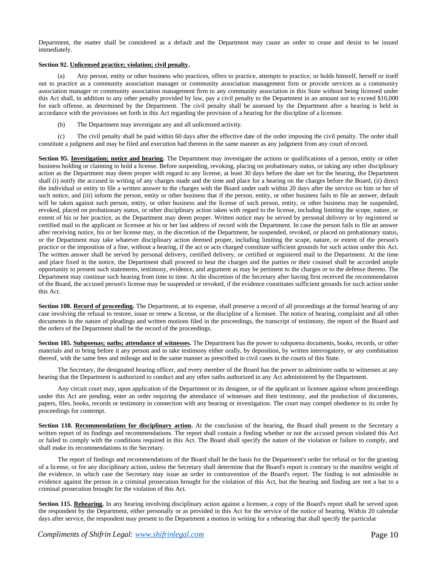Department, the matter shall be considered as a default and the Department may cause an order to cease and desist to be issued immediately.

## **Section 92. Unlicensed practice; violation; civil penalty.**

(a) Any person, entity or other business who practices, offers to practice, attempts to practice, or holds himself, herself or itself out to practice as a community association manager or community association management firm or provide services as a community association manager or community association management firm to any community association in this State without being licensed under this Act shall, in addition to any other penalty provided by law, pay a civil penalty to the Department in an amount not to exceed \$10,000 for each offense, as determined by the Department. The civil penalty shall be assessed by the Department after a hearing is held in accordance with the provisions set forth in this Act regarding the provision of a hearing for the discipline of a licensee.

(b) The Department may investigate any and all unlicensed activity.

(c) The civil penalty shall be paid within 60 days after the effective date of the order imposing the civil penalty. The order shall constitute a judgment and may be filed and execution had thereon in the same manner as any judgment from any court ofrecord.

**Section 95. Investigation; notice and hearing.** The Department may investigate the actions or qualifications of a person, entity or other business holding or claiming to hold a license. Before suspending, revoking, placing on probationary status, or taking any other disciplinary action as the Department may deem proper with regard to any license, at least 30 days before the date set for the hearing, the Department shall (i) notify the accused in writing of any charges made and the time and place for a hearing on the charges before the Board, (ii) direct the individual or entity to file a written answer to the charges with the Board under oath within 20 days after the service on him or her of such notice, and (iii) inform the person, entity or other business that if the person, entity, or other business fails to file an answer, default will be taken against such person, entity, or other business and the license of such person, entity, or other business may be suspended, revoked, placed on probationary status, or other disciplinary action taken with regard to the license, including limiting the scope, nature, or extent of his or her practice, as the Department may deem proper. Written notice may be served by personal delivery or by registered or certified mail to the applicant or licensee at his or her last address of record with the Department. In case the person fails to file an answer after receiving notice, his or her license may, in the discretion of the Department, be suspended, revoked, or placed on probationary status, or the Department may take whatever disciplinary action deemed proper, including limiting the scope, nature, or extent of the person's practice or the imposition of a fine, without a hearing, if the act or acts charged constitute sufficient grounds for such action under this Act. The written answer shall be served by personal delivery, certified delivery, or certified or registered mail to the Department. At the time and place fixed in the notice, the Department shall proceed to hear the charges and the parties or their counsel shall be accorded ample opportunity to present such statements, testimony, evidence, and argument as may be pertinent to the charges or to the defense thereto. The Department may continue such hearing from time to time. At the discretion of the Secretary after having first received the recommendation of the Board, the accused person's license may be suspended or revoked, if the evidence constitutes sufficient grounds for such action under this Act.

Section 100. Record of proceeding. The Department, at its expense, shall preserve a record of all proceedings at the formal hearing of any case involving the refusal to restore, issue or renew a license, or the discipline of a licensee. The notice of hearing, complaint and all other documents in the nature of pleadings and written motions filed in the proceedings, the transcript of testimony, the report of the Board and the orders of the Department shall be the record of the proceedings.

**Section 105. Subpoenas; oaths; attendance of witnesses.** The Department has the power to subpoena documents, books, records, or other materials and to bring before it any person and to take testimony either orally, by deposition, by written interrogatory, or any combination thereof, with the same fees and mileage and in the same manner as prescribed in civil cases in the courts of this State.

The Secretary, the designated hearing officer, and every member of the Board has the power to administer oaths to witnesses at any hearing that the Department is authorized to conduct and any other oaths authorized in any Act administered by the Department.

Any circuit court may, upon application of the Department or its designee, or of the applicant or licensee against whom proceedings under this Act are pending, enter an order requiring the attendance of witnesses and their testimony, and the production of documents, papers, files, books, records or testimony in connection with any hearing or investigation. The court may compel obedience to its order by proceedings for contempt.

Section 110. Recommendations for disciplinary action. At the conclusion of the hearing, the Board shall present to the Secretary a written report of its findings and recommendations. The report shall contain a finding whether or not the accused person violated this Act or failed to comply with the conditions required in this Act. The Board shall specify the nature of the violation or failure to comply, and shall make its recommendations to the Secretary.

The report of findings and recommendations of the Board shall be the basis for the Department's order for refusal or for the granting of a license, or for any disciplinary action, unless the Secretary shall determine that the Board's report is contrary to the manifest weight of the evidence, in which case the Secretary may issue an order in contravention of the Board's report. The finding is not admissible in evidence against the person in a criminal prosecution brought for the violation of this Act, but the hearing and finding are not a bar to a criminal prosecution brought for the violation of this Act.

**Section 115. Rehearing.** In any hearing involving disciplinary action against a licensee, a copy of the Board's report shall be served upon the respondent by the Department, either personally or as provided in this Act for the service of the notice of hearing. Within 20 calendar days after service, the respondent may present to the Department a motion in writing for a rehearing that shall specify the particular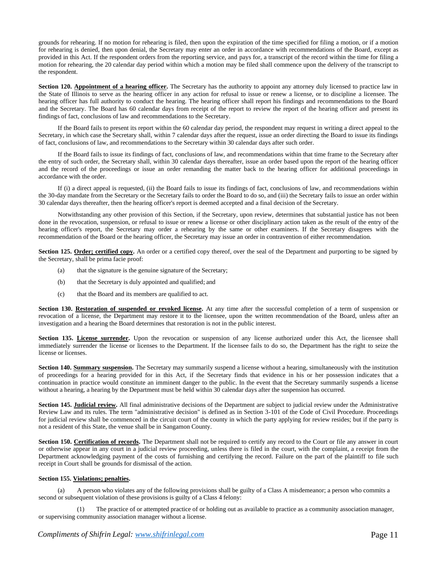grounds for rehearing. If no motion for rehearing is filed, then upon the expiration of the time specified for filing a motion, or if a motion for rehearing is denied, then upon denial, the Secretary may enter an order in accordance with recommendations of the Board, except as provided in this Act. If the respondent orders from the reporting service, and pays for, a transcript of the record within the time for filing a motion for rehearing, the 20 calendar day period within which a motion may be filed shall commence upon the delivery of the transcript to the respondent.

**Section 120. Appointment of a hearing officer.** The Secretary has the authority to appoint any attorney duly licensed to practice law in the State of Illinois to serve as the hearing officer in any action for refusal to issue or renew a license, or to discipline a licensee. The hearing officer has full authority to conduct the hearing. The hearing officer shall report his findings and recommendations to the Board and the Secretary. The Board has 60 calendar days from receipt of the report to review the report of the hearing officer and present its findings of fact, conclusions of law and recommendations to the Secretary.

If the Board fails to present its report within the 60 calendar day period, the respondent may request in writing a direct appeal to the Secretary, in which case the Secretary shall, within 7 calendar days after the request, issue an order directing the Board to issue its findings of fact, conclusions of law, and recommendations to the Secretary within 30 calendar days after such order.

If the Board fails to issue its findings of fact, conclusions of law, and recommendations within that time frame to the Secretary after the entry of such order, the Secretary shall, within 30 calendar days thereafter, issue an order based upon the report of the hearing officer and the record of the proceedings or issue an order remanding the matter back to the hearing officer for additional proceedings in accordance with the order.

If (i) a direct appeal is requested, (ii) the Board fails to issue its findings of fact, conclusions of law, and recommendations within the 30-day mandate from the Secretary or the Secretary fails to order the Board to do so, and (iii) the Secretary fails to issue an order within 30 calendar days thereafter, then the hearing officer's report is deemed accepted and a final decision of the Secretary.

Notwithstanding any other provision of this Section, if the Secretary, upon review, determines that substantial justice has not been done in the revocation, suspension, or refusal to issue or renew a license or other disciplinary action taken as the result of the entry of the hearing officer's report, the Secretary may order a rehearing by the same or other examiners. If the Secretary disagrees with the recommendation of the Board or the hearing officer, the Secretary may issue an order in contravention of either recommendation.

**Section 125. Order; certified copy.** An order or a certified copy thereof, over the seal of the Department and purporting to be signed by the Secretary, shall be prima facie proof:

- (a) that the signature is the genuine signature of the Secretary;
- (b) that the Secretary is duly appointed and qualified; and
- (c) that the Board and its members are qualified to act.

**Section 130. Restoration of suspended or revoked license.** At any time after the successful completion of a term of suspension or revocation of a license, the Department may restore it to the licensee, upon the written recommendation of the Board, unless after an investigation and a hearing the Board determines that restoration is not in the public interest.

Section 135. License surrender. Upon the revocation or suspension of any license authorized under this Act, the licensee shall immediately surrender the license or licenses to the Department. If the licensee fails to do so, the Department has the right to seize the license or licenses.

**Section 140. Summary suspension.** The Secretary may summarily suspend a license without a hearing, simultaneously with the institution of proceedings for a hearing provided for in this Act, if the Secretary finds that evidence in his or her possession indicates that a continuation in practice would constitute an imminent danger to the public. In the event that the Secretary summarily suspends a license without a hearing, a hearing by the Department must be held within 30 calendar days after the suspension has occurred.

**Section 145. Judicial review.** All final administrative decisions of the Department are subject to judicial review under the Administrative Review Law and its rules. The term "administrative decision" is defined as in Section 3-101 of the Code of Civil Procedure. Proceedings for judicial review shall be commenced in the circuit court of the county in which the party applying for review resides; but if the party is not a resident of this State, the venue shall be in Sangamon County.

Section 150. Certification of records. The Department shall not be required to certify any record to the Court or file any answer in court or otherwise appear in any court in a judicial review proceeding, unless there is filed in the court, with the complaint, a receipt from the Department acknowledging payment of the costs of furnishing and certifying the record. Failure on the part of the plaintiff to file such receipt in Court shall be grounds for dismissal of the action.

## **Section 155. Violations; penalties.**

(a) A person who violates any of the following provisions shall be guilty of a Class A misdemeanor; a person who commits a second or subsequent violation of these provisions is guilty of a Class 4 felony:

The practice of or attempted practice of or holding out as available to practice as a community association manager, or supervising community association manager without a license.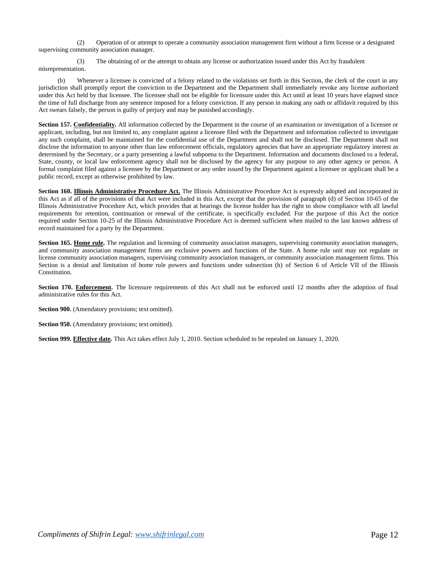(2) Operation of or attempt to operate a community association management firm without a firm license or a designated supervising community association manager.

(3) The obtaining of or the attempt to obtain any license or authorization issued under this Act by fraudulent misrepresentation.

(b) Whenever a licensee is convicted of a felony related to the violations set forth in this Section, the clerk of the court in any jurisdiction shall promptly report the conviction to the Department and the Department shall immediately revoke any license authorized under this Act held by that licensee. The licensee shall not be eligible for licensure under this Act until at least 10 years have elapsed since the time of full discharge from any sentence imposed for a felony conviction. If any person in making any oath or affidavit required by this Act swears falsely, the person is guilty of perjury and may be punished accordingly.

**Section 157. Confidentiality.** All information collected by the Department in the course of an examination or investigation of a licensee or applicant, including, but not limited to, any complaint against a licensee filed with the Department and information collected to investigate any such complaint, shall be maintained for the confidential use of the Department and shall not be disclosed. The Department shall not disclose the information to anyone other than law enforcement officials, regulatory agencies that have an appropriate regulatory interest as determined by the Secretary, or a party presenting a lawful subpoena to the Department. Information and documents disclosed to a federal, State, county, or local law enforcement agency shall not be disclosed by the agency for any purpose to any other agency or person. A formal complaint filed against a licensee by the Department or any order issued by the Department against a licensee or applicant shall be a public record, except as otherwise prohibited by law.

**Section 160. Illinois Administrative Procedure Act.** The Illinois Administrative Procedure Act is expressly adopted and incorporated in this Act as if all of the provisions of that Act were included in this Act, except that the provision of paragraph (d) of Section 10-65 of the Illinois Administrative Procedure Act, which provides that at hearings the license holder has the right to show compliance with all lawful requirements for retention, continuation or renewal of the certificate, is specifically excluded. For the purpose of this Act the notice required under Section 10-25 of the Illinois Administrative Procedure Act is deemed sufficient when mailed to the last known address of record maintained for a party by the Department.

**Section 165. Home rule.** The regulation and licensing of community association managers, supervising community association managers, and community association management firms are exclusive powers and functions of the State. A home rule unit may not regulate or license community association managers, supervising community association managers, or community association management firms. This Section is a denial and limitation of home rule powers and functions under subsection (h) of Section 6 of Article VII of the Illinois Constitution.

**Section 170. Enforcement.** The licensure requirements of this Act shall not be enforced until 12 months after the adoption of final administrative rules for this Act.

**Section 900.** (Amendatory provisions; text omitted).

**Section 950.** (Amendatory provisions; text omitted).

**Section 999. Effective date.** This Act takes effect July 1, 2010. Section scheduled to be repealed on January 1, 2020.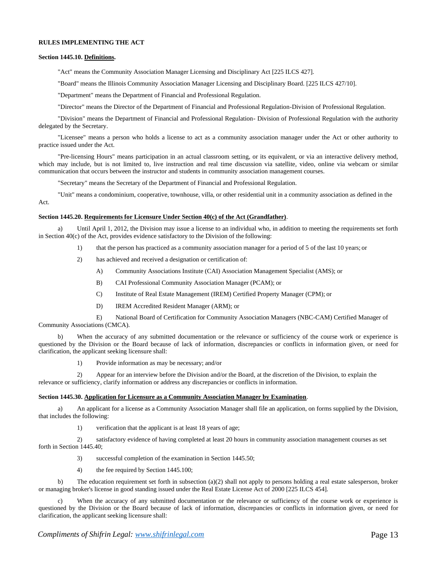### **RULES IMPLEMENTING THE ACT**

#### **Section 1445.10. Definitions.**

"Act" means the Community Association Manager Licensing and Disciplinary Act [225 ILCS 427].

"Board" means the Illinois Community Association Manager Licensing and Disciplinary Board. [225 ILCS 427/10].

"Department" means the Department of Financial and Professional Regulation.

"Director" means the Director of the Department of Financial and Professional Regulation-Division of Professional Regulation.

"Division" means the Department of Financial and Professional Regulation- Division of Professional Regulation with the authority delegated by the Secretary.

"Licensee" means a person who holds a license to act as a community association manager under the Act or other authority to practice issued under the Act.

"Pre-licensing Hours" means participation in an actual classroom setting, or its equivalent, or via an interactive delivery method, which may include, but is not limited to, live instruction and real time discussion via satellite, video, online via webcam or similar communication that occurs between the instructor and students in community association management courses.

"Secretary" means the Secretary of the Department of Financial and Professional Regulation.

"Unit" means a condominium, cooperative, townhouse, villa, or other residential unit in a community association as defined in the Act.

#### **Section 1445.20. Requirements for Licensure Under Section 40(c) of the Act (Grandfather)**.

a) Until April 1, 2012, the Division may issue a license to an individual who, in addition to meeting the requirements set forth in Section 40(c) of the Act, provides evidence satisfactory to the Division of the following:

- 1) that the person has practiced as a community association manager for a period of 5 of the last 10 years; or
- 2) has achieved and received a designation or certification of:
	- A) Community Associations Institute (CAI) Association Management Specialist (AMS); or
	- B) CAI Professional Community Association Manager (PCAM); or
	- C) Institute of Real Estate Management (IREM) Certified Property Manager (CPM); or
	- D) IREM Accredited Resident Manager (ARM); or

E) National Board of Certification for Community Association Managers (NBC-CAM) Certified Manager of Community Associations (CMCA).

b) When the accuracy of any submitted documentation or the relevance or sufficiency of the course work or experience is questioned by the Division or the Board because of lack of information, discrepancies or conflicts in information given, or need for clarification, the applicant seeking licensure shall:

1) Provide information as may be necessary; and/or

2) Appear for an interview before the Division and/or the Board, at the discretion of the Division, to explain the relevance or sufficiency, clarify information or address any discrepancies or conflicts in information.

#### **Section 1445.30. Application for Licensure as a Community Association Manager by Examination**.

a) An applicant for a license as a Community Association Manager shall file an application, on forms supplied by the Division, that includes the following:

1) verification that the applicant is at least 18 years of age;

2) satisfactory evidence of having completed at least 20 hours in community association management courses as set forth in Section 1445.40;

- 3) successful completion of the examination in Section 1445.50;
- 4) the fee required by Section 1445.100;

b) The education requirement set forth in subsection (a)(2) shall not apply to persons holding a real estate salesperson, broker or managing broker's license in good standing issued under the Real Estate License Act of 2000 [225 ILCS 454].

When the accuracy of any submitted documentation or the relevance or sufficiency of the course work or experience is questioned by the Division or the Board because of lack of information, discrepancies or conflicts in information given, or need for clarification, the applicant seeking licensure shall: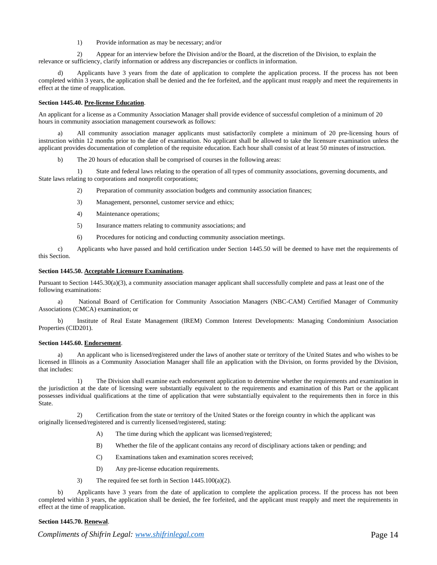1) Provide information as may be necessary; and/or

2) Appear for an interview before the Division and/or the Board, at the discretion of the Division, to explain the relevance or sufficiency, clarify information or address any discrepancies or conflicts in information.

Applicants have 3 years from the date of application to complete the application process. If the process has not been completed within 3 years, the application shall be denied and the fee forfeited, and the applicant must reapply and meet the requirements in effect at the time of reapplication.

## **Section 1445.40. Pre-license Education**.

An applicant for a license as a Community Association Manager shall provide evidence of successful completion of a minimum of 20 hours in community association management coursework as follows:

a) All community association manager applicants must satisfactorily complete a minimum of 20 pre-licensing hours of instruction within 12 months prior to the date of examination. No applicant shall be allowed to take the licensure examination unless the applicant provides documentation of completion of the requisite education. Each hour shall consist of at least 50 minutes ofinstruction.

The 20 hours of education shall be comprised of courses in the following areas:

1) State and federal laws relating to the operation of all types of community associations, governing documents, and State laws relating to corporations and nonprofit corporations;

2) Preparation of community association budgets and community association finances;

- 3) Management, personnel, customer service and ethics;
- 4) Maintenance operations;
- 5) Insurance matters relating to community associations; and
- 6) Procedures for noticing and conducting community association meetings.

c) Applicants who have passed and hold certification under Section 1445.50 will be deemed to have met the requirements of this Section.

#### **Section 1445.50. Acceptable Licensure Examinations**.

Pursuant to Section 1445.30(a)(3), a community association manager applicant shall successfully complete and pass at least one of the following examinations:

a) National Board of Certification for Community Association Managers (NBC-CAM) Certified Manager of Community Associations (CMCA) examination; or

b) Institute of Real Estate Management (IREM) Common Interest Developments: Managing Condominium Association Properties (CID201).

#### **Section 1445.60. Endorsement**.

a) An applicant who is licensed/registered under the laws of another state or territory of the United States and who wishes to be licensed in Illinois as a Community Association Manager shall file an application with the Division, on forms provided by the Division, that includes:

1) The Division shall examine each endorsement application to determine whether the requirements and examination in the jurisdiction at the date of licensing were substantially equivalent to the requirements and examination of this Part or the applicant possesses individual qualifications at the time of application that were substantially equivalent to the requirements then in force in this State.

2) Certification from the state or territory of the United States or the foreign country in which the applicant was originally licensed/registered and is currently licensed/registered, stating:

- A) The time during which the applicant was licensed/registered;
- B) Whether the file of the applicant contains any record of disciplinary actions taken or pending; and
- C) Examinations taken and examination scores received;
- D) Any pre-license education requirements.
- 3) The required fee set forth in Section 1445.100(a)(2).

b) Applicants have 3 years from the date of application to complete the application process. If the process has not been completed within 3 years, the application shall be denied, the fee forfeited, and the applicant must reapply and meet the requirements in effect at the time of reapplication.

## **Section 1445.70. Renewal**.

*Compliments of Shifrin Legal: www.shifrinlegal.com* **Page 14 Page 14**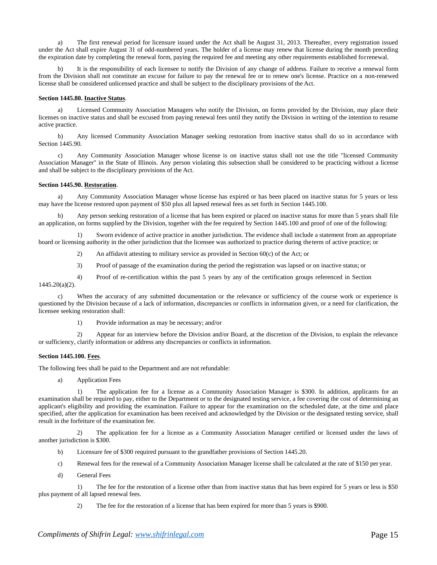a) The first renewal period for licensure issued under the Act shall be August 31, 2013. Thereafter, every registration issued under the Act shall expire August 31 of odd-numbered years. The holder of a license may renew that license during the month preceding the expiration date by completing the renewal form, paying the required fee and meeting any other requirements established forrenewal.

It is the responsibility of each licensee to notify the Division of any change of address. Failure to receive a renewal form from the Division shall not constitute an excuse for failure to pay the renewal fee or to renew one's license. Practice on a non-renewed license shall be considered unlicensed practice and shall be subject to the disciplinary provisions of the Act.

## **Section 1445.80. Inactive Status**.

a) Licensed Community Association Managers who notify the Division, on forms provided by the Division, may place their licenses on inactive status and shall be excused from paying renewal fees until they notify the Division in writing of the intention to resume active practice.

b) Any licensed Community Association Manager seeking restoration from inactive status shall do so in accordance with Section 1445.90.

c) Any Community Association Manager whose license is on inactive status shall not use the title "licensed Community Association Manager" in the State of Illinois. Any person violating this subsection shall be considered to be practicing without a license and shall be subject to the disciplinary provisions of the Act.

## **Section 1445.90. Restoration**.

a) Any Community Association Manager whose license has expired or has been placed on inactive status for 5 years or less may have the license restored upon payment of \$50 plus all lapsed renewal fees as set forth in Section 1445.100.

b) Any person seeking restoration of a license that has been expired or placed on inactive status for more than 5 years shall file an application, on forms supplied by the Division, together with the fee required by Section 1445.100 and proof of one of the following:

1) Sworn evidence of active practice in another jurisdiction. The evidence shall include a statement from an appropriate board or licensing authority in the other jurisdiction that the licensee was authorized to practice during theterm of active practice; or

- 2) An affidavit attesting to military service as provided in Section 60(c) of the Act; or
- 3) Proof of passage of the examination during the period the registration was lapsed or on inactive status; or
- 4) Proof of re-certification within the past 5 years by any of the certification groups referenced in Section 1445.20(a)(2).

c) When the accuracy of any submitted documentation or the relevance or sufficiency of the course work or experience is questioned by the Division because of a lack of information, discrepancies or conflicts in information given, or a need for clarification, the licensee seeking restoration shall:

1) Provide information as may be necessary; and/or

2) Appear for an interview before the Division and/or Board, at the discretion of the Division, to explain the relevance or sufficiency, clarify information or address any discrepancies or conflicts in information.

## **Section 1445.100. Fees**.

The following fees shall be paid to the Department and are not refundable:

a) Application Fees

1) The application fee for a license as a Community Association Manager is \$300. In addition, applicants for an examination shall be required to pay, either to the Department or to the designated testing service, a fee covering the cost of determining an applicant's eligibility and providing the examination. Failure to appear for the examination on the scheduled date, at the time and place specified, after the application for examination has been received and acknowledged by the Division or the designated testing service, shall result in the forfeiture of the examination fee.

2) The application fee for a license as a Community Association Manager certified or licensed under the laws of another jurisdiction is \$300.

- b) Licensure fee of \$300 required pursuant to the grandfather provisions of Section 1445.20.
- c) Renewal fees for the renewal of a Community Association Manager license shall be calculated at the rate of \$150 per year.
- d) General Fees

1) The fee for the restoration of a license other than from inactive status that has been expired for 5 years or less is \$50 plus payment of all lapsed renewal fees.

2) The fee for the restoration of a license that has been expired for more than 5 years is \$900.